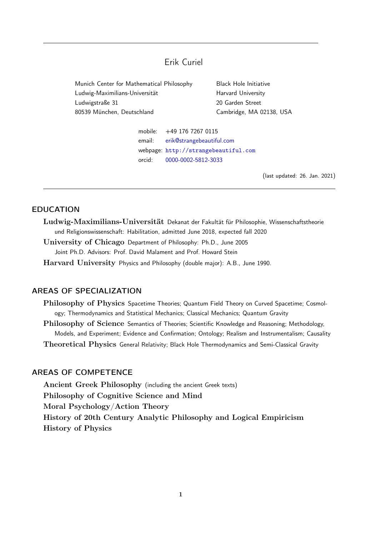# Erik Curiel

<span id="page-0-0"></span>Munich Center for Mathematical Philosophy Black Hole Initiative Ludwig-Maximilians-Universität Harvard University Ludwigstraße 31 20 Garden Street 80539 München, Deutschland Cambridge, MA 02138, USA

mobile: +49 176 7267 0115 email: [erik@strangebeautiful.com](mailto:erik@strangebeautiful.com) webpage: <http://strangebeautiful.com> orcid: [0000-0002-5812-3033](https://orcid.org/0000-0002-5812-3033)

(last updated: 26. Jan. 2021)

# EDUCATION

Ludwig-Maximilians-Universität Dekanat der Fakultät für Philosophie, Wissenschaftstheorie und Religionswissenschaft: Habilitation, admitted June 2018, expected fall 2020

University of Chicago Department of Philosophy: Ph.D., June 2005 Joint Ph.D. Advisors: Prof. David Malament and Prof. Howard Stein

Harvard University Physics and Philosophy (double major): A.B., June 1990.

# AREAS OF SPECIALIZATION

Philosophy of Physics Spacetime Theories; Quantum Field Theory on Curved Spacetime; Cosmology; Thermodynamics and Statistical Mechanics; Classical Mechanics; Quantum Gravity

Philosophy of Science Semantics of Theories; Scientific Knowledge and Reasoning; Methodology, Models, and Experiment; Evidence and Confirmation; Ontology; Realism and Instrumentalism; Causality Theoretical Physics General Relativity; Black Hole Thermodynamics and Semi-Classical Gravity

# AREAS OF COMPETENCE

Ancient Greek Philosophy (including the ancient Greek texts) Philosophy of Cognitive Science and Mind Moral Psychology/Action Theory History of 20th Century Analytic Philosophy and Logical Empiricism History of Physics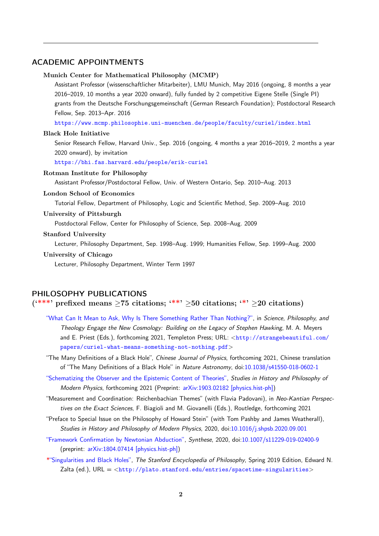### ACADEMIC APPOINTMENTS

#### Munich Center for Mathematical Philosophy (MCMP)

Assistant Professor (wissenschaftlicher Mitarbeiter), LMU Munich, May 2016 (ongoing, 8 months a year 2016–2019, 10 months a year 2020 onward), fully funded by 2 competitive Eigene Stelle (Single PI) grants from the Deutsche Forschungsgemeinschaft (German Research Foundation); Postdoctoral Research Fellow, Sep. 2013–Apr. 2016

<https://www.mcmp.philosophie.uni-muenchen.de/people/faculty/curiel/index.html>

#### Black Hole Initiative

Senior Research Fellow, Harvard Univ., Sep. 2016 (ongoing, 4 months a year 2016–2019, 2 months a year 2020 onward), by invitation

<https://bhi.fas.harvard.edu/people/erik-curiel>

#### Rotman Institute for Philosophy

Assistant Professor/Postdoctoral Fellow, Univ. of Western Ontario, Sep. 2010–Aug. 2013

#### London School of Economics

Tutorial Fellow, Department of Philosophy, Logic and Scientific Method, Sep. 2009–Aug. 2010

#### University of Pittsburgh

Postdoctoral Fellow, Center for Philosophy of Science, Sep. 2008–Aug. 2009

#### Stanford University

Lecturer, Philosophy Department, Sep. 1998–Aug. 1999; Humanities Fellow, Sep. 1999–Aug. 2000

#### University of Chicago

Lecturer, Philosophy Department, Winter Term 1997

#### PHILOSOPHY PUBLICATIONS

## (\*\*\*' prefixed means  $\geq 75$  citations; '\*\*'  $\geq 50$  citations; '\*'  $\geq 20$  citations)

- ["What Can It Mean to Ask, Why Is There Something Rather Than Nothing?",](http://strangebeautiful.com/papers/curiel-what-means-something-not-nothing.pdf) in Science, Philosophy, and Theology Engage the New Cosmology: Building on the Legacy of Stephen Hawking, M. A. Meyers and E. Priest (Eds.), forthcoming 2021, Templeton Press; URL: <[http://strangebeautiful.com/](http://strangebeautiful.com/papers/curiel-what-means-something-not-nothing.pdf) [papers/curiel-what-means-something-not-nothing.pdf](http://strangebeautiful.com/papers/curiel-what-means-something-not-nothing.pdf)>
- "The Many Definitions of a Black Hole", Chinese Journal of Physics, forthcoming 2021, Chinese translation of "The Many Definitions of a Black Hole" in Nature Astronomy, doi[:10.1038/s41550-018-0602-1](http://dx.doi.org/10.1038/s41550-018-0602-1)
- ["Schematizing the Observer and the Epistemic Content of Theories",](http://strangebeautiful.com/papers/curiel-schema-obsr-epi-content-theors.pdf) Studies in History and Philosophy of Modern Physics, forthcoming 2021 (Preprint: [arXiv:1903.02182 \[physics.hist-ph\]\)](https://arxiv.org/abs/1903.02182)
- "Measurement and Coordination: Reichenbachian Themes" (with Flavia Padovani), in Neo-Kantian Perspectives on the Exact Sciences, F. Biagioli and M. Giovanelli (Eds.), Routledge, forthcoming 2021
- "Preface to Special Issue on the Philosophy of Howard Stein" (with Tom Pashby and James Weatherall), Studies in History and Philosophy of Modern Physics, 2020, doi[:10.1016/j.shpsb.2020.09.001](https://doi.org/10.1016/j.shpsb.2020.09.001)
- ["Framework Confirmation by Newtonian Abduction",](http://strangebeautiful.com/papers/curiel-fw-confirm-newt-abduct.pdf) Synthese, 2020, doi[:10.1007/s11229-019-02400-9](http://dx.doi.org/10.1007/s11229-019-02400-9) (preprint: [arXiv:1804.07414 \[physics.hist-ph\]\)](http://arxiv.org/abs/1804.07414)
- [\\*"Singularities and Black Holes",](http://plato.stanford.edu/entries/spacetime-singularities) The Stanford Encyclopedia of Philosophy, Spring 2019 Edition, Edward N. Zalta (ed.),  $URL =$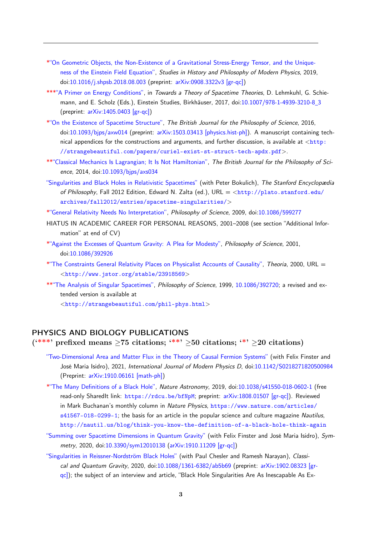- [\\*"On Geometric Objects, the Non-Existence of a Gravitational Stress-Energy Tensor, and the Unique](http://strangebeautiful.com/papers/curiel-nonexist-grav-seten-uniq-efe.pdf)[ness of the Einstein Field Equation",](http://strangebeautiful.com/papers/curiel-nonexist-grav-seten-uniq-efe.pdf) Studies in History and Philosophy of Modern Physics, 2019, doi[:10.1016/j.shpsb.2018.08.003](http://dx.doi.org/10.1016/j.shpsb.2018.08.003) (preprint: [arXiv:0908.3322v3 \[gr-qc\]\)](http://arxiv.org/abs/0908.3322)
- [\\*\\*\\*"A Primer on Energy Conditions",](http://strangebeautiful.com/papers/curiel-primer-energy-conds.pdf) in Towards a Theory of Spacetime Theories, D. Lehmkuhl, G. Schiemann, and E. Scholz (Eds.), Einstein Studies, Birkhäuser, 2017, doi[:10.1007/978-1-4939-3210-8](http://dx.doi.org/10.1007/978-1-4939-3210-8_3) 3 (preprint: [arXiv:1405.0403 \[gr-qc\]\)](http://arxiv.org/abs/1405.0403)
- [\\*"On the Existence of Spacetime Structure",](http://strangebeautiful.com/papers/curiel-exist-st-struct.pdf) The British Journal for the Philosophy of Science, 2016, doi[:10.1093/bjps/axw014](http://dx.doi.org/10.1093/bjps/axw014) (preprint: [arXiv:1503.03413 \[physics.hist-ph\]\)](http://arxiv.org/abs/1503.03413). A manuscript containing technical appendices for the constructions and arguments, and further discussion, is available at  $\langle$ [http:](http://strangebeautiful.com/papers/curiel-exist-st-struct-tech-apdx.pdf) [//strangebeautiful.com/papers/curiel-exist-st-struct-tech-apdx.pdf](http://strangebeautiful.com/papers/curiel-exist-st-struct-tech-apdx.pdf)>.
- [\\*\\*"Classical Mechanics Is Lagrangian; It Is Not Hamiltonian",](http://strangebeautiful.com/papers/curiel-cm-lag-not-ham.pdf) The British Journal for the Philosophy of Science, 2014, doi[:10.1093/bjps/axs034](http://dx.doi.org/10.1093/bjps/axs034)
- ["Singularities and Black Holes in Relativistic Spacetimes"](http://plato.stanford.edu/archives/fall2012/entries/spacetime-singularities/) (with Peter Bokulich), The Stanford Encyclopædia of Philosophy, Fall 2012 Edition, Edward N. Zalta (ed.), URL = <[http://plato.stanford.edu/](http://plato.stanford.edu/archives/fall2012/entries/spacetime-singularities/) [archives/fall2012/entries/spacetime-singularities/](http://plato.stanford.edu/archives/fall2012/entries/spacetime-singularities/)>
- [\\*"General Relativity Needs No Interpretation",](http://strangebeautiful.com/papers/curiel-gr-needs-no-interp.pdf) Philosophy of Science, 2009, doi[:10.1086/599277](http://dx.doi.org/10.1086/599277)
- HIATUS IN ACADEMIC CAREER FOR PERSONAL REASONS, 2001–2008 (see section "Additional Information" at end of CV)
- [\\*"Against the Excesses of Quantum Gravity: A Plea for Modesty",](http://strangebeautiful.com/papers/curiel-against-excesses-qg.pdf) Philosophy of Science, 2001, doi[:10.1086/392926](http://dx.doi.org/10.1086/392926)
- [\\*"The Constraints General Relativity Places on Physicalist Accounts of Causality",](http://strangebeautiful.com/papers/curiel-gr-constraints-phys-caus.pdf) Theoria, 2000, URL = <<http://www.jstor.org/stable/23918569>>
- [\\*\\*"The Analysis of Singular Spacetimes",](http://strangebeautiful.com/papers/curiel-analysis-sing-sts.pdf) Philosophy of Science, 1999, [10.1086/392720;](http://dx.doi.org/10.1086/392720) a revised and extended version is available at

<<http://strangebeautiful.com/phil-phys.html>>

# PHYSICS AND BIOLOGY PUBLICATIONS

(\*\*\*' prefixed means  $\geq$ 75 citations; '\*\*'  $\geq$ 50 citations; '\*'  $\geq$ 20 citations)

- ["Two-Dimensional Area and Matter Flux in the Theory of Causal Fermion Systems"](http://strangebeautiful.com/papers/curiel-et-area-matter-cfs.pdf) (with Felix Finster and José Maria Isidro), 2021, International Journal of Modern Physics D, doi[:10.1142/S0218271820500984](https://doi.org/10.1142/S0218271820500984) (Preprint: [arXiv:1910.06161 \[math-ph\]\)](https://arxiv.org/abs/1910.06161)
- [\\*"The Many Definitions of a Black Hole",](http://strangebeautiful.com/papers/curiel-many-defs-bh.pdf) Nature Astronomy, 2019, doi[:10.1038/s41550-018-0602-1](http://dx.doi.org/10.1038/s41550-018-0602-1) (free read-only SharedIt link: <https://rdcu.be/bfNpM>; preprint: [arXiv:1808.01507 \[gr-qc\]\)](http://arxiv.org/abs/1808.01507). Reviewed in Mark Buchanan's monthly column in Nature Physics, [https://www.nature.com/articles/](https://www.nature.com/articles/s41567-018-0299-1) [s41567-018-0299-1](https://www.nature.com/articles/s41567-018-0299-1); the basis for an article in the popular science and culture magazine Nautilus, <http://nautil.us/blog/think-you-know-the-definition-of-a-black-hole-think-again>
- ["Summing over Spacetime Dimensions in Quantum Gravity"](http://strangebeautiful.com/papers/curiel-et-sum-st-dims-qg.pdf) (with Felix Finster and José Maria Isidro), Symmetry, 2020, doi[:10.3390/sym12010138](https://doi.org/10.3390/sym12010138) [\(arXiv:1910.11209 \[gr-qc\]\)](https://arxiv.org/abs/1910.11209)
- ["Singularities in Reissner-Nordström Black Holes"](http://strangebeautiful.com/papers/chesler-et-sings-rn-bhs.pdf) (with Paul Chesler and Ramesh Narayan), Classical and Quantum Gravity, 2020, doi[:10.1088/1361-6382/ab5b69](http://dx.doi.org/10.1088/1361-6382/ab5b69) (preprint: [arXiv:1902.08323 \[gr](https://arxiv.org/abs/1902.08323)[qc\]\)](https://arxiv.org/abs/1902.08323); the subject of an interview and article, "Black Hole Singularities Are As Inescapable As Ex-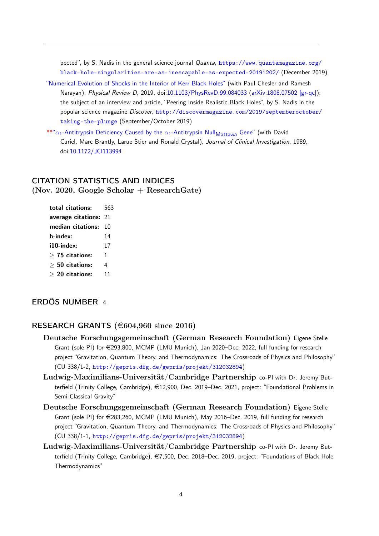pected", by S. Nadis in the general science journal Quanta, [https://www.quantamagazine.org/](https://www.quantamagazine.org/black-hole-singularities-are-as-inescapable-as-expected-20191202/) [black-hole-singularities-are-as-inescapable-as-expected-20191202/](https://www.quantamagazine.org/black-hole-singularities-are-as-inescapable-as-expected-20191202/) (December 2019)

- ["Numerical Evolution of Shocks in the Interior of Kerr Black Holes"](http://strangebeautiful.com/papers/chesler-et-num-evol-shocks-int-kerr.pdf) (with Paul Chesler and Ramesh Narayan), Physical Review D, 2019, doi[:10.1103/PhysRevD.99.084033](https://dx.doi.org/10.1103/PhysRevD.99.084033) [\(arXiv:1808.07502 \[gr-qc\]\)](https://arxiv.org/abs/1808.07502); the subject of an interview and article, "Peering Inside Realistic Black Holes", by S. Nadis in the popular science magazine Discover, [http://discovermagazine.com/2019/septemberoctober/](http://discovermagazine.com/2019/septemberoctober/taking-the-plunge) [taking-the-plunge](http://discovermagazine.com/2019/septemberoctober/taking-the-plunge) (September/October 2019)
- \*\*" $\alpha_1$ [-Antitrypsin Deficiency Caused by the](http://www.ncbi.nlm.nih.gov/pmc/articles/PMC303800/)  $\alpha_1$ -Antitrypsin Null<sub>Mattawa</sub> Gene" (with David Curiel, Marc Brantly, Larue Stier and Ronald Crystal), Journal of Clinical Investigation, 1989, doi[:10.1172/JCI113994](http://dx.doi.org/10.1172/JCI113994)

# CITATION STATISTICS AND INDICES (Nov. 2020, Google Scholar  $+$  Research Gate)

| total citations:      | 563 |
|-----------------------|-----|
| average citations: 21 |     |
| median citations:     | 10  |
| h-index:              | 14  |
| i10-index:            | 17  |
| $>$ 75 citations:     | 1   |
| $> 50$ citations:     | 4   |
| $> 20$ citations:     | 11  |

# ERDŐS NUMBER 4

# RESEARCH GRANTS ( $€604,960$  since 2016)

- Deutsche Forschungsgemeinschaft (German Research Foundation) Eigene Stelle Grant (sole PI) for  $\epsilon$ 293,800, MCMP (LMU Munich), Jan 2020–Dec. 2022, full funding for research project "Gravitation, Quantum Theory, and Thermodynamics: The Crossroads of Physics and Philosophy" (CU 338/1-2, <http://gepris.dfg.de/gepris/projekt/312032894>)
- Ludwig-Maximilians-Universität/Cambridge Partnership co-PI with Dr. Jeremy Butterfield (Trinity College, Cambridge), €12,900, Dec. 2019–Dec. 2021, project: "Foundational Problems in Semi-Classical Gravity"
- Deutsche Forschungsgemeinschaft (German Research Foundation) Eigene Stelle Grant (sole PI) for  $\epsilon$ 283,260, MCMP (LMU Munich), May 2016–Dec. 2019, full funding for research project "Gravitation, Quantum Theory, and Thermodynamics: The Crossroads of Physics and Philosophy" (CU 338/1-1, <http://gepris.dfg.de/gepris/projekt/312032894>)
- Ludwig-Maximilians-Universität/Cambridge Partnership co-PI with Dr. Jeremy Butterfield (Trinity College, Cambridge), €7,500, Dec. 2018–Dec. 2019, project: "Foundations of Black Hole Thermodynamics"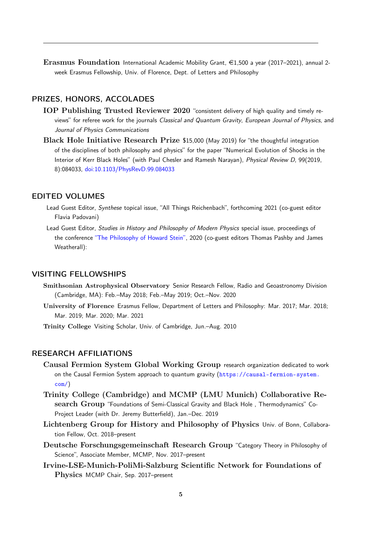Erasmus Foundation International Academic Mobility Grant,  $\epsilon$ 1,500 a year (2017–2021), annual 2week Erasmus Fellowship, Univ. of Florence, Dept. of Letters and Philosophy

# PRIZES, HONORS, ACCOLADES

- IOP Publishing Trusted Reviewer 2020 "consistent delivery of high quality and timely reviews" for referee work for the journals Classical and Quantum Gravity, European Journal of Physics, and Journal of Physics Communications
- Black Hole Initiative Research Prize \$15,000 (May 2019) for "the thoughtful integration of the disciplines of both philosophy and physics" for the paper "Numerical Evolution of Shocks in the Interior of Kerr Black Holes" (with Paul Chesler and Ramesh Narayan), Physical Review D, 99(2019, 8):084033, [doi:10.1103/PhysRevD.99.084033](https://dx.doi.org/10.1103/PhysRevD.99.084033)

# EDITED VOLUMES

- Lead Guest Editor, Synthese topical issue, "All Things Reichenbach", forthcoming 2021 (co-guest editor Flavia Padovani)
- Lead Guest Editor, Studies in History and Philosophy of Modern Physics special issue, proceedings of the conference ["The Philosophy of Howard Stein",](https://www.sciencedirect.com/journal/studies-in-history-and-philosophy-of-science-part-b-studies-in-history-and-philosophy-of-modern-physics/special-issue/10NJ75XS3J6) 2020 (co-guest editors Thomas Pashby and James Weatherall):

### VISITING FELLOWSHIPS

- Smithsonian Astrophysical Observatory Senior Research Fellow, Radio and Geoastronomy Division (Cambridge, MA): Feb.–May 2018; Feb.–May 2019; Oct.–Nov. 2020
- University of Florence Erasmus Fellow, Department of Letters and Philosophy: Mar. 2017; Mar. 2018; Mar. 2019; Mar. 2020; Mar. 2021

Trinity College Visiting Scholar, Univ. of Cambridge, Jun.–Aug. 2010

# RESEARCH AFFILIATIONS

- Causal Fermion System Global Working Group research organization dedicated to work on the Causal Fermion System approach to quantum gravity ([https://causal-fermion-system.](https://causal-fermion-system.com/) [com/](https://causal-fermion-system.com/))
- Trinity College (Cambridge) and MCMP (LMU Munich) Collaborative Research Group "Foundations of Semi-Classical Gravity and Black Hole , Thermodynamics" Co-Project Leader (with Dr. Jeremy Butterfield), Jan.–Dec. 2019
- Lichtenberg Group for History and Philosophy of Physics Univ. of Bonn, Collaboration Fellow, Oct. 2018–present
- Deutsche Forschungsgemeinschaft Research Group "Category Theory in Philosophy of Science", Associate Member, MCMP, Nov. 2017–present
- Irvine-LSE-Munich-PoliMi-Salzburg Scientific Network for Foundations of Physics MCMP Chair, Sep. 2017–present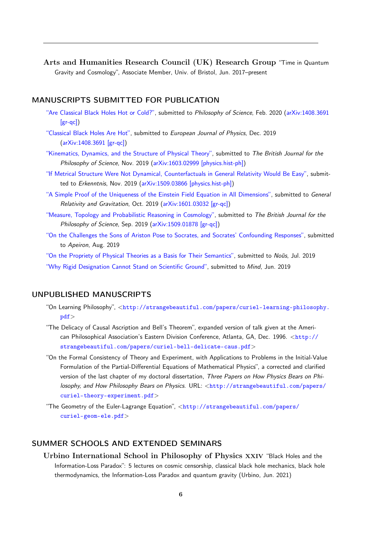Arts and Humanities Research Council (UK) Research Group "Time in Quantum Gravity and Cosmology", Associate Member, Univ. of Bristol, Jun. 2017–present

## MANUSCRIPTS SUBMITTED FOR PUBLICATION

- ["Are Classical Black Holes Hot or Cold?",](http://strangebeautiful.com/papers/curiel-class-bhs-hot-or-cold.pdf) submitted to Philosophy of Science, Feb. 2020 [\(arXiv:1408.3691](http://arxiv.org/abs/1408.3691) [\[gr-qc\]\)](http://arxiv.org/abs/1408.3691)
- ["Classical Black Holes Are Hot",](http://strangebeautiful.com/papers/curiel-class-bhs-hot-phys.pdf) submitted to European Journal of Physics, Dec. 2019 [\(arXiv:1408.3691 \[gr-qc\]\)](http://arxiv.org/abs/1408.3691)
- ["Kinematics, Dynamics, and the Structure of Physical Theory",](http://strangebeautiful.com/papers/curiel-kins-dyns-struc-theory.pdf) submitted to The British Journal for the Philosophy of Science, Nov. 2019 [\(arXiv:1603.02999 \[physics.hist-ph\]\)](https://arxiv.org/abs/1603.02999)
- ["If Metrical Structure Were Not Dynamical, Counterfactuals in General Relativity Would Be Easy",](http://strangebeautiful.com/papers/curiel-counterfacts-in-gr.pdf) submit-ted to Erkenntnis, Nov. 2019 [\(arXiv:1509.03866 \[physics.hist-ph\]\)](http://arxiv.org/abs/1509.03866)
- ["A Simple Proof of the Uniqueness of the Einstein Field Equation in All Dimensions",](http://strangebeautiful.com/papers/curiel-simple-proof-uniq-efe.pdf) submitted to General Relativity and Gravitation, Oct. 2019 [\(arXiv:1601.03032 \[gr-qc\]\)](http://arxiv.org/abs/1601.03032)
- ["Measure, Topology and Probabilistic Reasoning in Cosmology",](http://strangebeautiful.com/papers/curiel-meas-topo-prob-cosmo.pdf) submitted to The British Journal for the Philosophy of Science, Sep. 2019 [\(arXiv:1509.01878 \[gr-qc\]\)](http://arxiv.org/abs/1509.01878)
- ["On the Challenges the Sons of Ariston Pose to Socrates, and Socrates' Confounding Responses",](http://strangebeautiful.com/papers/curiel-republic-challenges.pdf) submitted to Apeiron, Aug. 2019
- ["On the Propriety of Physical Theories as a Basis for Their Semantics",](http://strangebeautiful.com/papers/curiel-propriety-adequacy-basis-sems.pdf) submitted to Nous, Jul. 2019
- ["Why Rigid Designation Cannot Stand on Scientific Ground",](http://strangebeautiful.com/papers/curiel-against-rigidity.pdf) submitted to Mind, Jun. 2019

#### UNPUBLISHED MANUSCRIPTS

- "On Learning Philosophy", <[http://strangebeautiful.com/papers/curiel-learning-philosophy.](http://strangebeautiful.com/papers/curiel-learning-philosophy.pdf) [pdf](http://strangebeautiful.com/papers/curiel-learning-philosophy.pdf)>
- "The Delicacy of Causal Ascription and Bell's Theorem", expanded version of talk given at the American Philosophical Association's Eastern Division Conference, Atlanta, GA, Dec. 1996. <[http://](http://strangebeautiful.com/papers/curiel-bell-delicate-caus.pdf) [strangebeautiful.com/papers/curiel-bell-delicate-caus.pdf](http://strangebeautiful.com/papers/curiel-bell-delicate-caus.pdf)>
- "On the Formal Consistency of Theory and Experiment, with Applications to Problems in the Initial-Value Formulation of the Partial-Differential Equations of Mathematical Physics", a corrected and clarified version of the last chapter of my doctoral dissertation, Three Papers on How Physics Bears on Philosophy, and How Philosophy Bears on Physics. URL: <[http://strangebeautiful.com/papers/](http://strangebeautiful.com/papers/curiel-theory-experiment.pdf) [curiel-theory-experiment.pdf](http://strangebeautiful.com/papers/curiel-theory-experiment.pdf)>
- "The Geometry of the Euler-Lagrange Equation", <[http://strangebeautiful.com/papers/](http://strangebeautiful.com/papers/curiel-geom-ele.pdf) [curiel-geom-ele.pdf](http://strangebeautiful.com/papers/curiel-geom-ele.pdf)>

# SUMMER SCHOOLS AND EXTENDED SEMINARS

Urbino International School in Philosophy of Physics xxiv "Black Holes and the Information-Loss Paradox": 5 lectures on cosmic censorship, classical black hole mechanics, black hole thermodynamics, the Information-Loss Paradox and quantum gravity (Urbino, Jun. 2021)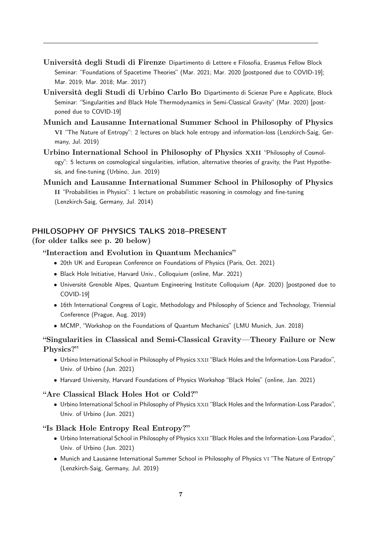- Università degli Studi di Firenze Dipartimento di Lettere e Filosofia, Erasmus Fellow Block Seminar: "Foundations of Spacetime Theories" (Mar. 2021; Mar. 2020 [postponed due to COVID-19]; Mar. 2019; Mar. 2018; Mar. 2017)
- Università degli Studi di Urbino Carlo Bo Dipartimento di Scienze Pure e Applicate, Block Seminar: "Singularities and Black Hole Thermodynamics in Semi-Classical Gravity" (Mar. 2020) [postponed due to COVID-19]
- Munich and Lausanne International Summer School in Philosophy of Physics VI "The Nature of Entropy": 2 lectures on black hole entropy and information-loss (Lenzkirch-Saig, Germany, Jul. 2019)
- Urbino International School in Philosophy of Physics xxii "Philosophy of Cosmology": 5 lectures on cosmological singularities, inflation, alternative theories of gravity, the Past Hypothesis, and fine-tuning (Urbino, Jun. 2019)
- Munich and Lausanne International Summer School in Philosophy of Physics II "Probabilities in Physics": 1 lecture on probabilistic reasoning in cosmology and fine-tuning (Lenzkirch-Saig, Germany, Jul. 2014)

# PHILOSOPHY OF PHYSICS TALKS 2018–PRESENT

# (for older talks see p. [20](#page-0-0) below)

### "Interaction and Evolution in Quantum Mechanics"

- 20th UK and European Conference on Foundations of Physics (Paris, Oct. 2021)
- Black Hole Initiative, Harvard Univ., Colloquium (online, Mar. 2021)
- Université Grenoble Alpes, Quantum Engineering Institute Colloquium (Apr. 2020) [postponed due to COVID-19]
- 16th International Congress of Logic, Methodology and Philosophy of Science and Technology, Triennial Conference (Prague, Aug. 2019)
- MCMP, "Workshop on the Foundations of Quantum Mechanics" (LMU Munich, Jun. 2018)

# "Singularities in Classical and Semi-Classical Gravity—Theory Failure or New Physics?"

- Urbino International School in Philosophy of Physics XXII "Black Holes and the Information-Loss Paradox", Univ. of Urbino (Jun. 2021)
- Harvard University, Harvard Foundations of Physics Workshop "Black Holes" (online, Jan. 2021)

#### "Are Classical Black Holes Hot or Cold?"

• Urbino International School in Philosophy of Physics XXII "Black Holes and the Information-Loss Paradox", Univ. of Urbino (Jun. 2021)

### "Is Black Hole Entropy Real Entropy?"

- Urbino International School in Philosophy of Physics XXII "Black Holes and the Information-Loss Paradox", Univ. of Urbino (Jun. 2021)
- Munich and Lausanne International Summer School in Philosophy of Physics vi "The Nature of Entropy" (Lenzkirch-Saig, Germany, Jul. 2019)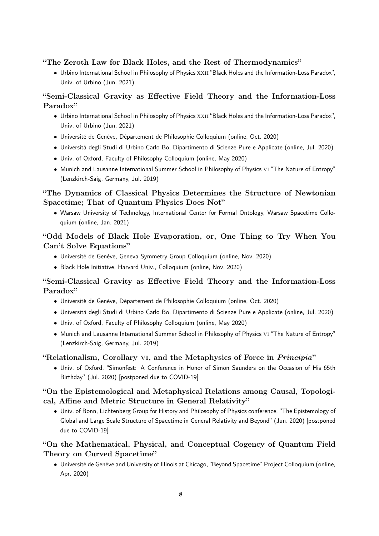"The Zeroth Law for Black Holes, and the Rest of Thermodynamics"

• Urbino International School in Philosophy of Physics xxii "Black Holes and the Information-Loss Paradox", Univ. of Urbino (Jun. 2021)

# "Semi-Classical Gravity as Effective Field Theory and the Information-Loss Paradox"

- Urbino International School in Philosophy of Physics XXII "Black Holes and the Information-Loss Paradox", Univ. of Urbino (Jun. 2021)
- Université de Genève, Département de Philosophie Colloquium (online, Oct. 2020)
- Università degli Studi di Urbino Carlo Bo, Dipartimento di Scienze Pure e Applicate (online, Jul. 2020)
- Univ. of Oxford, Faculty of Philosophy Colloquium (online, May 2020)
- Munich and Lausanne International Summer School in Philosophy of Physics vi "The Nature of Entropy" (Lenzkirch-Saig, Germany, Jul. 2019)

# "The Dynamics of Classical Physics Determines the Structure of Newtonian Spacetime; That of Quantum Physics Does Not"

• Warsaw University of Technology, International Center for Formal Ontology, Warsaw Spacetime Colloquium (online, Jan. 2021)

# "Odd Models of Black Hole Evaporation, or, One Thing to Try When You Can't Solve Equations"

- Université de Genève, Geneva Symmetry Group Colloquium (online, Nov. 2020)
- Black Hole Initiative, Harvard Univ., Colloquium (online, Nov. 2020)

# "Semi-Classical Gravity as Effective Field Theory and the Information-Loss Paradox"

- Université de Genève, Département de Philosophie Colloquium (online, Oct. 2020)
- Università degli Studi di Urbino Carlo Bo, Dipartimento di Scienze Pure e Applicate (online, Jul. 2020)
- Univ. of Oxford, Faculty of Philosophy Colloquium (online, May 2020)
- Munich and Lausanne International Summer School in Philosophy of Physics vi "The Nature of Entropy" (Lenzkirch-Saig, Germany, Jul. 2019)

# "Relationalism, Corollary VI, and the Metaphysics of Force in *Principia*"

• Univ. of Oxford, "Simonfest: A Conference in Honor of Simon Saunders on the Occasion of His 65th Birthday" (Jul. 2020) [postponed due to COVID-19]

# "On the Epistemological and Metaphysical Relations among Causal, Topological, Affine and Metric Structure in General Relativity"

• Univ. of Bonn, Lichtenberg Group for History and Philosophy of Physics conference, "The Epistemology of Global and Large Scale Structure of Spacetime in General Relativity and Beyond" (Jun. 2020) [postponed due to COVID-19]

# "On the Mathematical, Physical, and Conceptual Cogency of Quantum Field Theory on Curved Spacetime"

• Université de Genève and University of Illinois at Chicago, "Beyond Spacetime" Project Colloquium (online, Apr. 2020)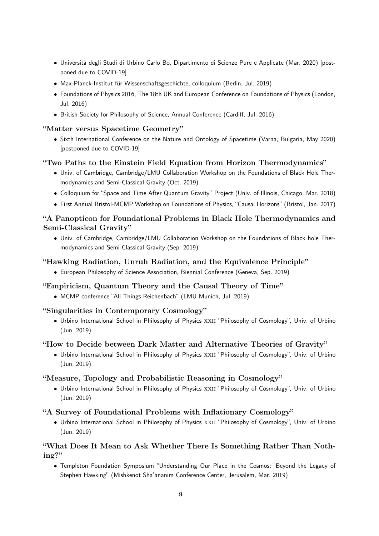- Università degli Studi di Urbino Carlo Bo, Dipartimento di Scienze Pure e Applicate (Mar. 2020) [postponed due to COVID-19]
- Max-Planck-Institut für Wissenschaftsgeschichte, colloquium (Berlin, Jul. 2019)
- Foundations of Physics 2016, The 18th UK and European Conference on Foundations of Physics (London, Jul. 2016)
- British Society for Philosophy of Science, Annual Conference (Cardiff, Jul. 2016)

# "Matter versus Spacetime Geometry"

• Sixth International Conference on the Nature and Ontology of Spacetime (Varna, Bulgaria, May 2020) [postponed due to COVID-19]

# "Two Paths to the Einstein Field Equation from Horizon Thermodynamics"

- Univ. of Cambridge, Cambridge/LMU Collaboration Workshop on the Foundations of Black Hole Thermodynamics and Semi-Classical Gravity (Oct. 2019)
- Colloquium for "Space and Time After Quantum Gravity" Project (Univ. of Illinois, Chicago, Mar. 2018)
- First Annual Bristol-MCMP Workshop on Foundations of Physics, "Causal Horizons" (Bristol, Jan. 2017)

# "A Panopticon for Foundational Problems in Black Hole Thermodynamics and Semi-Classical Gravity"

• Univ. of Cambridge, Cambridge/LMU Collaboration Workshop on the Foundations of Black hole Thermodynamics and Semi-Classical Gravity (Sep. 2019)

# "Hawking Radiation, Unruh Radiation, and the Equivalence Principle"

• European Philosophy of Science Association, Biennial Conference (Geneva, Sep. 2019)

## "Empiricism, Quantum Theory and the Causal Theory of Time"

• MCMP conference "All Things Reichenbach" (LMU Munich, Jul. 2019)

### "Singularities in Contemporary Cosmology"

• Urbino International School in Philosophy of Physics xxii "Philosophy of Cosmology", Univ. of Urbino (Jun. 2019)

### "How to Decide between Dark Matter and Alternative Theories of Gravity"

• Urbino International School in Philosophy of Physics XXII "Philosophy of Cosmology", Univ. of Urbino (Jun. 2019)

### "Measure, Topology and Probabilistic Reasoning in Cosmology"

• Urbino International School in Philosophy of Physics xxii "Philosophy of Cosmology", Univ. of Urbino (Jun. 2019)

### "A Survey of Foundational Problems with Inflationary Cosmology"

• Urbino International School in Philosophy of Physics XXII "Philosophy of Cosmology", Univ. of Urbino (Jun. 2019)

# "What Does It Mean to Ask Whether There Is Something Rather Than Nothing?"

• Templeton Foundation Symposium "Understanding Our Place in the Cosmos: Beyond the Legacy of Stephen Hawking" (Mishkenot Sha'ananim Conference Center, Jerusalem, Mar. 2019)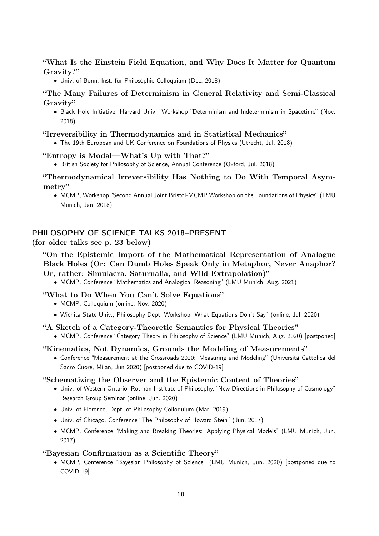"What Is the Einstein Field Equation, and Why Does It Matter for Quantum Gravity?"

• Univ. of Bonn, Inst. für Philosophie Colloquium (Dec. 2018)

"The Many Failures of Determinism in General Relativity and Semi-Classical Gravity"

• Black Hole Initiative, Harvard Univ., Workshop "Determinism and Indeterminism in Spacetime" (Nov. 2018)

#### "Irreversibility in Thermodynamics and in Statistical Mechanics"

• The 19th European and UK Conference on Foundations of Physics (Utrecht, Jul. 2018)

- "Entropy is Modal—What's Up with That?"
	- British Society for Philosophy of Science, Annual Conference (Oxford, Jul. 2018)

"Thermodynamical Irreversibility Has Nothing to Do With Temporal Asymmetry"

• MCMP, Workshop "Second Annual Joint Bristol-MCMP Workshop on the Foundations of Physics" (LMU Munich, Jan. 2018)

#### PHILOSOPHY OF SCIENCE TALKS 2018–PRESENT

## (for older talks see p. [23](#page-0-0) below)

"On the Epistemic Import of the Mathematical Representation of Analogue Black Holes (Or: Can Dumb Holes Speak Only in Metaphor, Never Anaphor? Or, rather: Simulacra, Saturnalia, and Wild Extrapolation)"

• MCMP, Conference "Mathematics and Analogical Reasoning" (LMU Munich, Aug. 2021)

#### "What to Do When You Can't Solve Equations"

- MCMP, Colloquium (online, Nov. 2020)
- Wichita State Univ., Philosophy Dept. Workshop "What Equations Don't Say" (online, Jul. 2020)

#### "A Sketch of a Category-Theoretic Semantics for Physical Theories"

• MCMP, Conference "Category Theory in Philosophy of Science" (LMU Munich, Aug. 2020) [postponed]

#### "Kinematics, Not Dynamics, Grounds the Modeling of Measurements"

• Conference "Measurement at the Crossroads 2020: Measuring and Modeling" (Università Cattolica del Sacro Cuore, Milan, Jun 2020) [postponed due to COVID-19]

#### "Schematizing the Observer and the Epistemic Content of Theories"

- Univ. of Western Ontario, Rotman Institute of Philosophy, "New Directions in Philosophy of Cosmology" Research Group Seminar (online, Jun. 2020)
- Univ. of Florence, Dept. of Philosophy Colloquium (Mar. 2019)
- Univ. of Chicago, Conference "The Philosophy of Howard Stein" (Jun. 2017)
- MCMP, Conference "Making and Breaking Theories: Applying Physical Models" (LMU Munich, Jun. 2017)

#### "Bayesian Confirmation as a Scientific Theory"

• MCMP, Conference "Bayesian Philosophy of Science" (LMU Munich, Jun. 2020) [postponed due to COVID-19]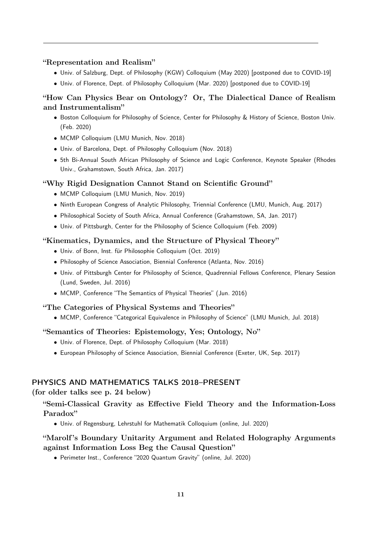#### "Representation and Realism"

- Univ. of Salzburg, Dept. of Philosophy (KGW) Colloquium (May 2020) [postponed due to COVID-19]
- Univ. of Florence, Dept. of Philosophy Colloquium (Mar. 2020) [postponed due to COVID-19]

# "How Can Physics Bear on Ontology? Or, The Dialectical Dance of Realism and Instrumentalism"

- Boston Colloquium for Philosophy of Science, Center for Philosophy & History of Science, Boston Univ. (Feb. 2020)
- MCMP Colloquium (LMU Munich, Nov. 2018)
- Univ. of Barcelona, Dept. of Philosophy Colloquium (Nov. 2018)
- 5th Bi-Annual South African Philosophy of Science and Logic Conference, Keynote Speaker (Rhodes Univ., Grahamstown, South Africa, Jan. 2017)

#### "Why Rigid Designation Cannot Stand on Scientific Ground"

- MCMP Colloquium (LMU Munich, Nov. 2019)
- Ninth European Congress of Analytic Philosophy, Triennial Conference (LMU, Munich, Aug. 2017)
- Philosophical Society of South Africa, Annual Conference (Grahamstown, SA, Jan. 2017)
- Univ. of Pittsburgh, Center for the Philosophy of Science Colloquium (Feb. 2009)

#### "Kinematics, Dynamics, and the Structure of Physical Theory"

- Univ. of Bonn, Inst. für Philosophie Colloquium (Oct. 2019)
- Philosophy of Science Association, Biennial Conference (Atlanta, Nov. 2016)
- Univ. of Pittsburgh Center for Philosophy of Science, Quadrennial Fellows Conference, Plenary Session (Lund, Sweden, Jul. 2016)
- MCMP, Conference "The Semantics of Physical Theories" (Jun. 2016)

# "The Categories of Physical Systems and Theories"

• MCMP, Conference "Categorical Equivalence in Philosophy of Science" (LMU Munich, Jul. 2018)

#### "Semantics of Theories: Epistemology, Yes; Ontology, No"

- Univ. of Florence, Dept. of Philosophy Colloquium (Mar. 2018)
- European Philosophy of Science Association, Biennial Conference (Exeter, UK, Sep. 2017)

### PHYSICS AND MATHEMATICS TALKS 2018–PRESENT

#### (for older talks see p. [24](#page-0-0) below)

# "Semi-Classical Gravity as Effective Field Theory and the Information-Loss Paradox"

• Univ. of Regensburg, Lehrstuhl for Mathematik Colloquium (online, Jul. 2020)

# "Marolf 's Boundary Unitarity Argument and Related Holography Arguments against Information Loss Beg the Causal Question"

• Perimeter Inst., Conference "2020 Quantum Gravity" (online, Jul. 2020)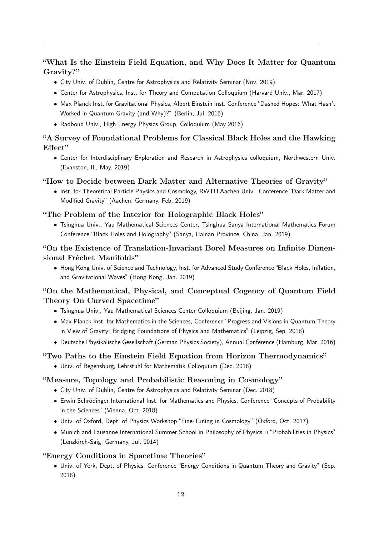"What Is the Einstein Field Equation, and Why Does It Matter for Quantum Gravity?"

- City Univ. of Dublin, Centre for Astrophysics and Relativity Seminar (Nov. 2019)
- Center for Astrophysics, Inst. for Theory and Computation Colloquium (Harvard Univ., Mar. 2017)
- Max Planck Inst. for Gravitational Physics, Albert Einstein Inst. Conference "Dashed Hopes: What Hasn't Worked in Quantum Gravity (and Why)?" (Berlin, Jul. 2016)
- Radboud Univ., High Energy Physics Group, Colloquium (May 2016)

# "A Survey of Foundational Problems for Classical Black Holes and the Hawking Effect"

• Center for Interdisciplinary Exploration and Research in Astrophysics colloquium, Northwestern Univ. (Evanston, IL, May. 2019)

# "How to Decide between Dark Matter and Alternative Theories of Gravity"

• Inst. for Theoretical Particle Physics and Cosmology, RWTH Aachen Univ., Conference "Dark Matter and Modified Gravity" (Aachen, Germany, Feb. 2019)

# "The Problem of the Interior for Holographic Black Holes"

• Tsinghua Univ., Yau Mathematical Sciences Center, Tsinghua Sanya International Mathematics Forum Conference "Black Holes and Holography" (Sanya, Hainan Province, China, Jan. 2019)

# "On the Existence of Translation-Invariant Borel Measures on Infinite Dimensional Fréchet Manifolds"

• Hong Kong Univ. of Science and Technology, Inst. for Advanced Study Conference "Black Holes, Inflation, and Gravitational Waves" (Hong Kong, Jan. 2019)

# "On the Mathematical, Physical, and Conceptual Cogency of Quantum Field Theory On Curved Spacetime"

- Tsinghua Univ., Yau Mathematical Sciences Center Colloquium (Beijing, Jan. 2019)
- Max Planck Inst. for Mathematics in the Sciences, Conference "Progress and Visions in Quantum Theory in View of Gravity: Bridging Foundations of Physics and Mathematics" (Leipzig, Sep. 2018)
- Deutsche Physikalische Gesellschaft (German Physics Society), Annual Conference (Hamburg, Mar. 2016)

# "Two Paths to the Einstein Field Equation from Horizon Thermodynamics"

• Univ. of Regensburg, Lehrstuhl for Mathematik Colloquium (Dec. 2018)

# "Measure, Topology and Probabilistic Reasoning in Cosmology"

- City Univ. of Dublin, Centre for Astrophysics and Relativity Seminar (Dec. 2018)
- Erwin Schrödinger International Inst. for Mathematics and Physics, Conference "Concepts of Probability in the Sciences" (Vienna, Oct. 2018)
- Univ. of Oxford, Dept. of Physics Workshop "Fine-Tuning in Cosmology" (Oxford, Oct. 2017)
- Munich and Lausanne International Summer School in Philosophy of Physics II "Probabilities in Physics" (Lenzkirch-Saig, Germany, Jul. 2014)

# "Energy Conditions in Spacetime Theories"

• Univ. of York, Dept. of Physics, Conference "Energy Conditions in Quantum Theory and Gravity" (Sep. 2018)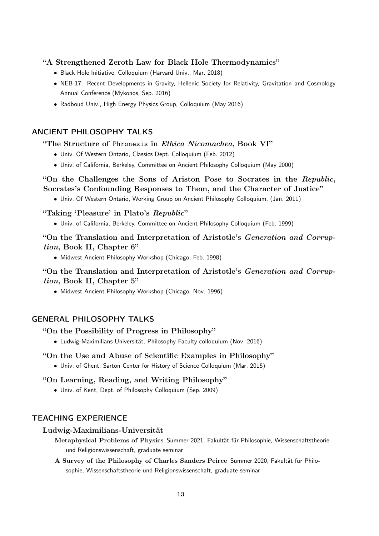## "A Strengthened Zeroth Law for Black Hole Thermodynamics"

- Black Hole Initiative, Colloquium (Harvard Univ., Mar. 2018)
- NEB-17: Recent Developments in Gravity, Hellenic Society for Relativity, Gravitation and Cosmology Annual Conference (Mykonos, Sep. 2016)
- Radboud Univ., High Energy Physics Group, Colloquium (May 2016)

### ANCIENT PHILOSOPHY TALKS

#### "The Structure of Phronesis in Ethica Nicomachea, Book VI"

- Univ. Of Western Ontario, Classics Dept. Colloquium (Feb. 2012)
- Univ. of California, Berkeley, Committee on Ancient Philosophy Colloquium (May 2000)

# "On the Challenges the Sons of Ariston Pose to Socrates in the Republic, Socrates's Confounding Responses to Them, and the Character of Justice"

• Univ. Of Western Ontario, Working Group on Ancient Philosophy Colloquium, (Jan. 2011)

### "Taking 'Pleasure' in Plato's Republic"

• Univ. of California, Berkeley, Committee on Ancient Philosophy Colloquium (Feb. 1999)

# "On the Translation and Interpretation of Aristotle's Generation and Corruption, Book II, Chapter 6"

• Midwest Ancient Philosophy Workshop (Chicago, Feb. 1998)

# "On the Translation and Interpretation of Aristotle's Generation and Corruption, Book II, Chapter 5"

• Midwest Ancient Philosophy Workshop (Chicago, Nov. 1996)

# GENERAL PHILOSOPHY TALKS

### "On the Possibility of Progress in Philosophy"

• Ludwig-Maximilians-Universität, Philosophy Faculty colloquium (Nov. 2016)

#### "On the Use and Abuse of Scientific Examples in Philosophy"

• Univ. of Ghent, Sarton Center for History of Science Colloquium (Mar. 2015)

### "On Learning, Reading, and Writing Philosophy"

• Univ. of Kent, Dept. of Philosophy Colloquium (Sep. 2009)

# TEACHING EXPERIENCE

#### Ludwig-Maximilians-Universität

Metaphysical Problems of Physics Summer 2021, Fakultät für Philosophie, Wissenschaftstheorie und Religionswissenschaft, graduate seminar

A Survey of the Philosophy of Charles Sanders Peirce Summer 2020, Fakultät für Philosophie, Wissenschaftstheorie und Religionswissenschaft, graduate seminar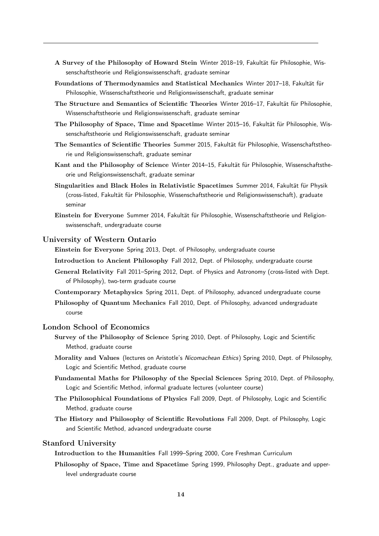- A Survey of the Philosophy of Howard Stein Winter 2018–19, Fakultät für Philosophie, Wissenschaftstheorie und Religionswissenschaft, graduate seminar
- Foundations of Thermodynamics and Statistical Mechanics Winter 2017–18, Fakultät für Philosophie, Wissenschaftstheorie und Religionswissenschaft, graduate seminar
- The Structure and Semantics of Scientific Theories Winter 2016–17, Fakultät für Philosophie, Wissenschaftstheorie und Religionswissenschaft, graduate seminar
- The Philosophy of Space, Time and Spacetime Winter 2015–16, Fakultät für Philosophie, Wissenschaftstheorie und Religionswissenschaft, graduate seminar
- The Semantics of Scientific Theories Summer 2015, Fakultät für Philosophie, Wissenschaftstheorie und Religionswissenschaft, graduate seminar
- Kant and the Philosophy of Science Winter 2014–15, Fakultät für Philosophie, Wissenschaftstheorie und Religionswissenschaft, graduate seminar
- Singularities and Black Holes in Relativistic Spacetimes Summer 2014, Fakultät für Physik (cross-listed, Fakultät für Philosophie, Wissenschaftstheorie und Religionswissenschaft), graduate seminar
- Einstein for Everyone Summer 2014, Fakultät für Philosophie, Wissenschaftstheorie und Religionswissenschaft, undergraduate course

#### University of Western Ontario

Einstein for Everyone Spring 2013, Dept. of Philosophy, undergraduate course

- Introduction to Ancient Philosophy Fall 2012, Dept. of Philosophy, undergraduate course
- General Relativity Fall 2011–Spring 2012, Dept. of Physics and Astronomy (cross-listed with Dept. of Philosophy), two-term graduate course
- Contemporary Metaphysics Spring 2011, Dept. of Philosophy, advanced undergraduate course
- Philosophy of Quantum Mechanics Fall 2010, Dept. of Philosophy, advanced undergraduate course

### London School of Economics

- Survey of the Philosophy of Science Spring 2010, Dept. of Philosophy, Logic and Scientific Method, graduate course
- Morality and Values (lectures on Aristotle's Nicomachean Ethics) Spring 2010, Dept. of Philosophy, Logic and Scientific Method, graduate course
- Fundamental Maths for Philosophy of the Special Sciences Spring 2010, Dept. of Philosophy, Logic and Scientific Method, informal graduate lectures (volunteer course)
- The Philosophical Foundations of Physics Fall 2009, Dept. of Philosophy, Logic and Scientific Method, graduate course
- The History and Philosophy of Scientific Revolutions Fall 2009, Dept. of Philosophy, Logic and Scientific Method, advanced undergraduate course

#### Stanford University

Introduction to the Humanities Fall 1999–Spring 2000, Core Freshman Curriculum

Philosophy of Space, Time and Spacetime Spring 1999, Philosophy Dept., graduate and upperlevel undergraduate course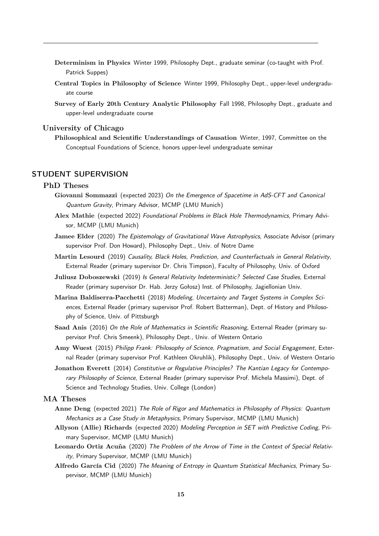- Determinism in Physics Winter 1999, Philosophy Dept., graduate seminar (co-taught with Prof. Patrick Suppes)
- Central Topics in Philosophy of Science Winter 1999, Philosophy Dept., upper-level undergraduate course
- Survey of Early 20th Century Analytic Philosophy Fall 1998, Philosophy Dept., graduate and upper-level undergraduate course

#### University of Chicago

Philosophical and Scientific Understandings of Causation Winter, 1997, Committee on the Conceptual Foundations of Science, honors upper-level undergraduate seminar

### STUDENT SUPERVISION

#### PhD Theses

- Giovanni Sommazzi (expected 2023) On the Emergence of Spacetime in AdS-CFT and Canonical Quantum Gravity, Primary Advisor, MCMP (LMU Munich)
- Alex Mathie (expected 2022) Foundational Problems in Black Hole Thermodynamics, Primary Advisor, MCMP (LMU Munich)
- Jamee Elder (2020) The Epistemology of Gravitational Wave Astrophysics, Associate Advisor (primary supervisor Prof. Don Howard), Philosophy Dept., Univ. of Notre Dame
- Martin Lesourd (2019) Causality, Black Holes, Prediction, and Counterfactuals in General Relativity, External Reader (primary supervisor Dr. Chris Timpson), Faculty of Philosophy, Univ. of Oxford
- Juliusz Doboszewski (2019) Is General Relativity Indeterministic? Selected Case Studies, External Reader (primary supervisor Dr. Hab. Jerzy Gołosz) Inst. of Philosophy, Jagiellonian Univ.
- Marina Baldiserra-Pacchetti (2018) Modeling, Uncertainty and Target Systems in Complex Sciences, External Reader (primary supervisor Prof. Robert Batterman), Dept. of History and Philosophy of Science, Univ. of Pittsburgh
- Saad Anis (2016) On the Role of Mathematics in Scientific Reasoning, External Reader (primary supervisor Prof. Chris Smeenk), Philosophy Dept., Univ. of Western Ontario
- Amy Wuest (2015) Philipp Frank: Philosophy of Science, Pragmatism, and Social Engagement, External Reader (primary supervisor Prof. Kathleen Okruhlik), Philosophy Dept., Univ. of Western Ontario
- Jonathon Everett (2014) Constitutive or Regulative Principles? The Kantian Legacy for Contemporary Philosophy of Science, External Reader (primary supervisor Prof. Michela Massimi), Dept. of Science and Technology Studies, Univ. College (London)

#### MA Theses

- Anne Deng (expected 2021) The Role of Rigor and Mathematics in Philosophy of Physics: Quantum Mechanics as a Case Study in Metaphysics, Primary Supervisor, MCMP (LMU Munich)
- Allyson (Allie) Richards (expected 2020) Modeling Perception in SET with Predictive Coding, Primary Supervisor, MCMP (LMU Munich)
- Leonardo Ortiz Acuña (2020) The Problem of the Arrow of Time in the Context of Special Relativity, Primary Supervisor, MCMP (LMU Munich)
- Alfredo García Cid (2020) The Meaning of Entropy in Quantum Statistical Mechanics, Primary Supervisor, MCMP (LMU Munich)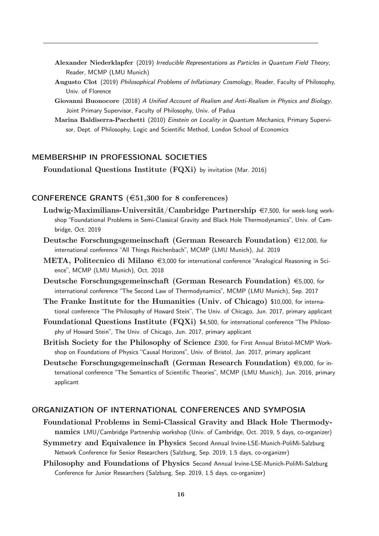- Alexander Niederklapfer (2019) Irreducible Representations as Particles in Quantum Field Theory, Reader, MCMP (LMU Munich)
- Augusto Clot (2019) Philosophical Problems of Inflationary Cosmology, Reader, Faculty of Philosophy, Univ. of Florence
- Giovanni Buonocore (2018) A Unified Account of Realism and Anti-Realism in Physics and Biology, Joint Primary Supervisor, Faculty of Philosophy, Univ. of Padua
- Marina Baldiserra-Pacchetti (2010) Einstein on Locality in Quantum Mechanics, Primary Supervisor, Dept. of Philosophy, Logic and Scientific Method, London School of Economics

# MEMBERSHIP IN PROFESSIONAL SOCIETIES

Foundational Questions Institute (FQXi) by invitation (Mar. 2016)

### CONFERENCE GRANTS  $(\text{\textless}51,300 \text{ for } 8 \text{ conferences})$

- Ludwig-Maximilians-Universität/Cambridge Partnership  $\epsilon$ 7,500, for week-long workshop "Foundational Problems in Semi-Classical Gravity and Black Hole Thermodynamics", Univ. of Cambridge, Oct. 2019
- Deutsche Forschungsgemeinschaft (German Research Foundation)  $\in$ 12,000, for international conference "All Things Reichenbach", MCMP (LMU Munich), Jul. 2019
- META, Politecnico di Milano  $\in$ 3,000 for international conference "Analogical Reasoning in Science", MCMP (LMU Munich), Oct. 2018
- Deutsche Forschungsgemeinschaft (German Research Foundation)  $\epsilon$ 5,000, for international conference "The Second Law of Thermodynamics", MCMP (LMU Munich), Sep. 2017
- The Franke Institute for the Humanities (Univ. of Chicago) \$10,000, for international conference "The Philosophy of Howard Stein", The Univ. of Chicago, Jun. 2017, primary applicant
- Foundational Questions Institute (FQXi) \$4,500, for international conference "The Philosophy of Howard Stein", The Univ. of Chicago, Jun. 2017, primary applicant
- British Society for the Philosophy of Science £300, for First Annual Bristol-MCMP Workshop on Foundations of Physics "Causal Horizons", Univ. of Bristol, Jan. 2017, primary applicant
- Deutsche Forschungsgemeinschaft (German Research Foundation)  $\in$ 9,000, for international conference "The Semantics of Scientific Theories", MCMP (LMU Munich), Jun. 2016, primary applicant

# ORGANIZATION OF INTERNATIONAL CONFERENCES AND SYMPOSIA

- Foundational Problems in Semi-Classical Gravity and Black Hole Thermodynamics LMU/Cambridge Partnership workshop (Univ. of Cambridge, Oct. 2019, 5 days, co-organizer)
- Symmetry and Equivalence in Physics Second Annual Irvine-LSE-Munich-PoliMi-Salzburg Network Conference for Senior Researchers (Salzburg, Sep. 2019, 1.5 days, co-organizer)
- Philosophy and Foundations of Physics Second Annual Irvine-LSE-Munich-PoliMi-Salzburg Conference for Junior Researchers (Salzburg, Sep. 2019, 1.5 days, co-organizer)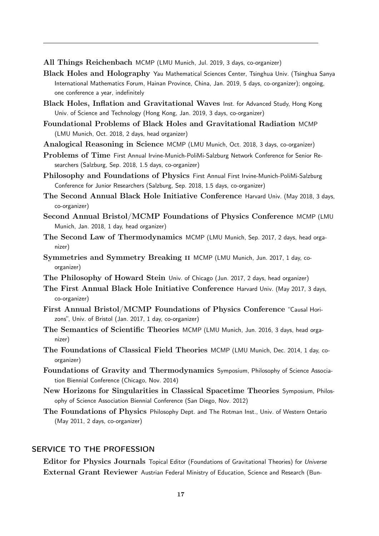All Things Reichenbach MCMP (LMU Munich, Jul. 2019, 3 days, co-organizer)

- Black Holes and Holography Yau Mathematical Sciences Center, Tsinghua Univ. (Tsinghua Sanya International Mathematics Forum, Hainan Province, China, Jan. 2019, 5 days, co-organizer); ongoing, one conference a year, indefinitely
- Black Holes, Inflation and Gravitational Waves Inst. for Advanced Study, Hong Kong Univ. of Science and Technology (Hong Kong, Jan. 2019, 3 days, co-organizer)
- Foundational Problems of Black Holes and Gravitational Radiation MCMP (LMU Munich, Oct. 2018, 2 days, head organizer)
- Analogical Reasoning in Science MCMP (LMU Munich, Oct. 2018, 3 days, co-organizer)
- Problems of Time First Annual Irvine-Munich-PoliMi-Salzburg Network Conference for Senior Researchers (Salzburg, Sep. 2018, 1.5 days, co-organizer)
- Philosophy and Foundations of Physics First Annual First Irvine-Munich-PoliMi-Salzburg Conference for Junior Researchers (Salzburg, Sep. 2018, 1.5 days, co-organizer)
- The Second Annual Black Hole Initiative Conference Harvard Univ. (May 2018, 3 days, co-organizer)
- Second Annual Bristol/MCMP Foundations of Physics Conference MCMP (LMU Munich, Jan. 2018, 1 day, head organizer)
- The Second Law of Thermodynamics MCMP (LMU Munich, Sep. 2017, 2 days, head organizer)
- Symmetries and Symmetry Breaking ii MCMP (LMU Munich, Jun. 2017, 1 day, coorganizer)
- The Philosophy of Howard Stein Univ. of Chicago (Jun. 2017, 2 days, head organizer)
- The First Annual Black Hole Initiative Conference Harvard Univ. (May 2017, 3 days, co-organizer)
- First Annual Bristol/MCMP Foundations of Physics Conference "Causal Horizons", Univ. of Bristol (Jan. 2017, 1 day, co-organizer)
- The Semantics of Scientific Theories MCMP (LMU Munich, Jun. 2016, 3 days, head organizer)
- The Foundations of Classical Field Theories MCMP (LMU Munich, Dec. 2014, 1 day, coorganizer)
- Foundations of Gravity and Thermodynamics Symposium, Philosophy of Science Association Biennial Conference (Chicago, Nov. 2014)
- New Horizons for Singularities in Classical Spacetime Theories Symposium, Philosophy of Science Association Biennial Conference (San Diego, Nov. 2012)
- The Foundations of Physics Philosophy Dept. and The Rotman Inst., Univ. of Western Ontario (May 2011, 2 days, co-organizer)

# SERVICE TO THE PROFESSION

Editor for Physics Journals Topical Editor (Foundations of Gravitational Theories) for Universe External Grant Reviewer Austrian Federal Ministry of Education, Science and Research (Bun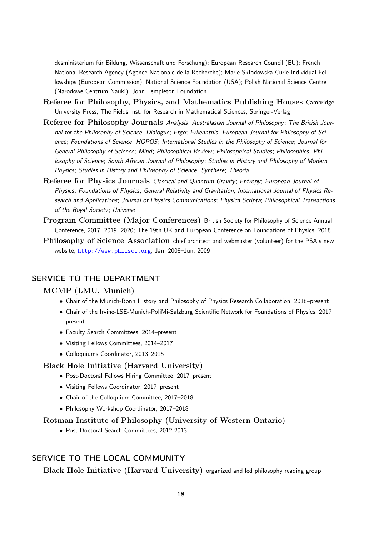desministerium für Bildung, Wissenschaft und Forschung); European Research Council (EU); French National Research Agency (Agence Nationale de la Recherche); Marie Skłodowska-Curie Individual Fellowships (European Commission); National Science Foundation (USA); Polish National Science Centre (Narodowe Centrum Nauki); John Templeton Foundation

- Referee for Philosophy, Physics, and Mathematics Publishing Houses Cambridge University Press; The Fields Inst. for Research in Mathematical Sciences; Springer-Verlag
- Referee for Philosophy Journals Analysis; Australasian Journal of Philosophy; The British Journal for the Philosophy of Science; Dialogue; Ergo; Erkenntnis; European Journal for Philosophy of Science; Foundations of Science; HOPOS; International Studies in the Philosophy of Science; Journal for General Philosophy of Science; Mind; Philosophical Review; Philosophical Studies; Philosophies; Philosophy of Science; South African Journal of Philosophy ; Studies in History and Philosophy of Modern Physics; Studies in History and Philosophy of Science; Synthese; Theoria
- Referee for Physics Journals Classical and Quantum Gravity; Entropy; European Journal of Physics; Foundations of Physics; General Relativity and Gravitation; International Journal of Physics Research and Applications; Journal of Physics Communications; Physica Scripta; Philosophical Transactions of the Royal Society; Universe
- Program Committee (Major Conferences) British Society for Philosophy of Science Annual Conference, 2017, 2019, 2020; The 19th UK and European Conference on Foundations of Physics, 2018
- Philosophy of Science Association chief architect and webmaster (volunteer) for the PSA's new website, <http://www.philsci.org>, Jan. 2008–Jun. 2009

## SERVICE TO THE DEPARTMENT

#### MCMP (LMU, Munich)

- Chair of the Munich-Bonn History and Philosophy of Physics Research Collaboration, 2018–present
- Chair of the Irvine-LSE-Munich-PoliMi-Salzburg Scientific Network for Foundations of Physics, 2017– present
- Faculty Search Committees, 2014–present
- Visiting Fellows Committees, 2014–2017
- Colloquiums Coordinator, 2013–2015

#### Black Hole Initiative (Harvard University)

- Post-Doctoral Fellows Hiring Committee, 2017–present
- Visiting Fellows Coordinator, 2017–present
- Chair of the Colloquium Committee, 2017–2018
- Philosophy Workshop Coordinator, 2017–2018

#### Rotman Institute of Philosophy (University of Western Ontario)

• Post-Doctoral Search Committees, 2012-2013

# SERVICE TO THE LOCAL COMMUNITY

Black Hole Initiative (Harvard University) organized and led philosophy reading group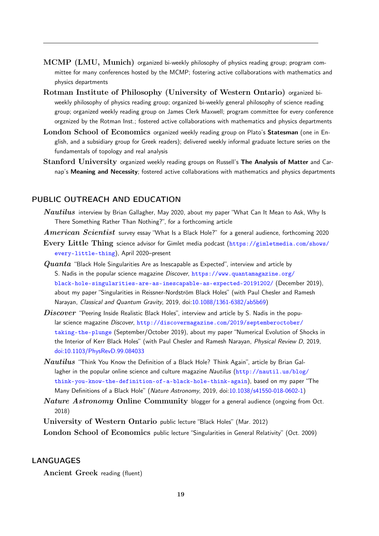- MCMP (LMU, Munich) organized bi-weekly philosophy of physics reading group; program committee for many conferences hosted by the MCMP; fostering active collaborations with mathematics and physics departments
- Rotman Institute of Philosophy (University of Western Ontario) organized biweekly philosophy of physics reading group; organized bi-weekly general philosophy of science reading group; organized weekly reading group on James Clerk Maxwell; program committee for every conference orgznized by the Rotman Inst.; fostered active collaborations with mathematics and physics departments
- London School of Economics organized weekly reading group on Plato's Statesman (one in English, and a subsidiary group for Greek readers); delivered weekly informal graduate lecture series on the fundamentals of topology and real analysis
- Stanford University organized weekly reading groups on Russell's The Analysis of Matter and Carnap's Meaning and Necessity; fostered active collaborations with mathematics and physics departments

### PUBLIC OUTREACH AND EDUCATION

- Nautilus interview by Brian Gallagher, May 2020, about my paper "What Can It Mean to Ask, Why Is There Something Rather Than Nothing?", for a forthcoming article
- American Scientist survey essay "What Is a Black Hole?" for a general audience, forthcoming 2020
- Every Little Thing science advisor for Gimlet media podcast ([https://gimletmedia.com/shows/](https://gimletmedia.com/shows/every-little-thing) [every-little-thing](https://gimletmedia.com/shows/every-little-thing)), April 2020–present
- $Quanta$  "Black Hole Singularities Are as Inescapable as Expected", interview and article by S. Nadis in the popular science magazine Discover, [https://www.quantamagazine.org/](https://www.quantamagazine.org/black-hole-singularities-are-as-inescapable-as-expected-20191202/) [black-hole-singularities-are-as-inescapable-as-expected-20191202/](https://www.quantamagazine.org/black-hole-singularities-are-as-inescapable-as-expected-20191202/) (December 2019), about my paper "Singularities in Reissner-Nordström Black Holes" (with Paul Chesler and Ramesh Narayan, Classical and Quantum Gravity, 2019, doi[:10.1088/1361-6382/ab5b69\)](http://dx.doi.org/10.1088/1361-6382/ab5b69)
- $Discover$  "Peering Inside Realistic Black Holes", interview and article by S. Nadis in the popular science magazine Discover, [http://discovermagazine.com/2019/septemberoctober/](http://discovermagazine.com/2019/septemberoctober/taking-the-plunge) [taking-the-plunge](http://discovermagazine.com/2019/septemberoctober/taking-the-plunge) (September/October 2019), about my paper "Numerical Evolution of Shocks in the Interior of Kerr Black Holes" (with Paul Chesler and Ramesh Narayan, Physical Review D, 2019, [doi:10.1103/PhysRevD.99.084033](https://dx.doi.org/10.1103/PhysRevD.99.084033)
- Nautilus "Think You Know the Definition of a Black Hole? Think Again", article by Brian Gallagher in the popular online science and culture magazine Nautilus ( $http://nautil.us/blog/$ [think-you-know-the-definition-of-a-black-hole-think-again](http://nautil.us/blog/think-you-know-the-definition-of-a-black-hole-think-again)), based on my paper "The Many Definitions of a Black Hole" (Nature Astronomy, 2019, doi[:10.1038/s41550-018-0602-1\)](http://dx.doi.org/10.1038/s41550-018-0602-1)
- Nature Astronomy Online Community blogger for a general audience (ongoing from Oct. 2018)

University of Western Ontario public lecture "Black Holes" (Mar. 2012)

London School of Economics public lecture "Singularities in General Relativity" (Oct. 2009)

### LANGUAGES

Ancient Greek reading (fluent)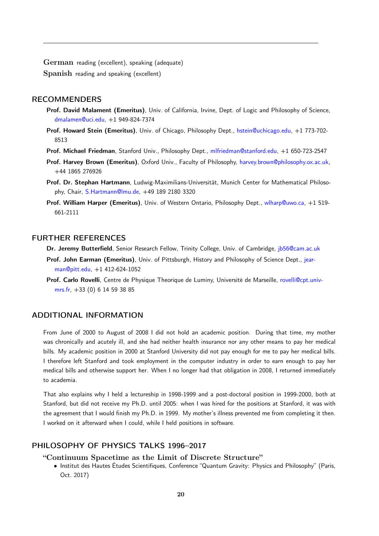German reading (excellent), speaking (adequate) Spanish reading and speaking (excellent)

#### RECOMMENDERS

- Prof. David Malament (Emeritus), Univ. of California, Irvine, Dept. of Logic and Philosophy of Science, [dmalamen@uci.edu,](mailto:dmalamen@uci.edu) +1 949-824-7374
- Prof. Howard Stein (Emeritus), Univ. of Chicago, Philosophy Dept., [hstein@uchicago.edu,](mailto:hstein@uchicago.edu) +1 773-702- 8513
- Prof. Michael Friedman, Stanford Univ., Philosophy Dept., [mlfriedman@stanford.edu,](mailto:mlfriedman@stanford.edu) +1 650-723-2547
- Prof. Harvey Brown (Emeritus), Oxford Univ., Faculty of Philosophy, [harvey.brown@philosophy.ox.ac.uk,](mailto:harvey.brown@philosophy.ox.ac.uk) +44 1865 276926
- Prof. Dr. Stephan Hartmann, Ludwig-Maximilians-Universität, Munich Center for Mathematical Philosophy, Chair, [S.Hartmann@lmu.de,](mailto:S.Hartmann@lmu.de) +49 189 2180 3320
- Prof. William Harper (Emeritus), Univ. of Western Ontario, Philosophy Dept., [wlharp@uwo.ca,](mailto:wlharp@uwo.ca) +1 519-661-2111

### FURTHER REFERENCES

Dr. Jeremy Butterfield, Senior Research Fellow, Trinity College, Univ. of Cambridge, [jb56@cam.ac.uk](mailto:jb56@cam.ac.uk)

- Prof. John Earman (Emeritus), Univ. of Pittsburgh, History and Philosophy of Science Dept., [jear](mailto:jearman@pitt.edu)[man@pitt.edu,](mailto:jearman@pitt.edu) +1 412-624-1052
- Prof. Carlo Rovelli, Centre de Physique Theorique de Luminy, Université de Marseille, [rovelli@cpt.univ](mailto:rovelli@cpt.univ-mrs.fr)[mrs.fr,](mailto:rovelli@cpt.univ-mrs.fr) +33 (0) 6 14 59 38 85

## ADDITIONAL INFORMATION

From June of 2000 to August of 2008 I did not hold an academic position. During that time, my mother was chronically and acutely ill, and she had neither health insurance nor any other means to pay her medical bills. My academic position in 2000 at Stanford University did not pay enough for me to pay her medical bills. I therefore left Stanford and took employment in the computer industry in order to earn enough to pay her medical bills and otherwise support her. When I no longer had that obligation in 2008, I returned immediately to academia.

That also explains why I held a lectureship in 1998-1999 and a post-doctoral position in 1999-2000, both at Stanford, but did not receive my Ph.D. until 2005: when I was hired for the positions at Stanford, it was with the agreement that I would finish my Ph.D. in 1999. My mother's illness prevented me from completing it then. I worked on it afterward when I could, while I held positions in software.

# PHILOSOPHY OF PHYSICS TALKS 1996–2017

- "Continuum Spacetime as the Limit of Discrete Structure"
	- Institut des Hautes Études Scientifiques, Conference "Quantum Gravity: Physics and Philosophy" (Paris, Oct. 2017)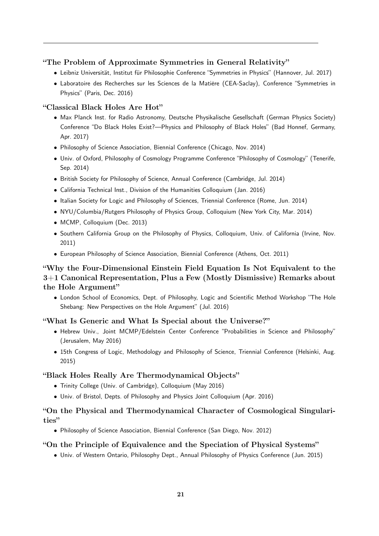## "The Problem of Approximate Symmetries in General Relativity"

- Leibniz Universität, Institut für Philosophie Conference "Symmetries in Physics" (Hannover, Jul. 2017)
- Laboratoire des Recherches sur les Sciences de la Matière (CEA-Saclay), Conference "Symmetries in Physics" (Paris, Dec. 2016)

### "Classical Black Holes Are Hot"

- Max Planck Inst. for Radio Astronomy, Deutsche Physikalische Gesellschaft (German Physics Society) Conference "Do Black Holes Exist?—Physics and Philosophy of Black Holes" (Bad Honnef, Germany, Apr. 2017)
- Philosophy of Science Association, Biennial Conference (Chicago, Nov. 2014)
- Univ. of Oxford, Philosophy of Cosmology Programme Conference "Philosophy of Cosmology" (Tenerife, Sep. 2014)
- British Society for Philosophy of Science, Annual Conference (Cambridge, Jul. 2014)
- California Technical Inst., Division of the Humanities Colloquium (Jan. 2016)
- Italian Society for Logic and Philosophy of Sciences, Triennial Conference (Rome, Jun. 2014)
- NYU/Columbia/Rutgers Philosophy of Physics Group, Colloquium (New York City, Mar. 2014)
- MCMP, Colloquium (Dec. 2013)
- Southern California Group on the Philosophy of Physics, Colloquium, Univ. of California (Irvine, Nov. 2011)
- European Philosophy of Science Association, Biennial Conference (Athens, Oct. 2011)

# "Why the Four-Dimensional Einstein Field Equation Is Not Equivalent to the 3+1 Canonical Representation, Plus a Few (Mostly Dismissive) Remarks about the Hole Argument"

• London School of Economics, Dept. of Philosophy, Logic and Scientific Method Workshop "The Hole Shebang: New Perspectives on the Hole Argument" (Jul. 2016)

### "What Is Generic and What Is Special about the Universe?"

- Hebrew Univ., Joint MCMP/Edelstein Center Conference "Probabilities in Science and Philosophy" (Jerusalem, May 2016)
- 15th Congress of Logic, Methodology and Philosophy of Science, Triennial Conference (Helsinki, Aug. 2015)

### "Black Holes Really Are Thermodynamical Objects"

- Trinity College (Univ. of Cambridge), Colloquium (May 2016)
- Univ. of Bristol, Depts. of Philosophy and Physics Joint Colloquium (Apr. 2016)

# "On the Physical and Thermodynamical Character of Cosmological Singularities"

• Philosophy of Science Association, Biennial Conference (San Diego, Nov. 2012)

### "On the Principle of Equivalence and the Speciation of Physical Systems"

• Univ. of Western Ontario, Philosophy Dept., Annual Philosophy of Physics Conference (Jun. 2015)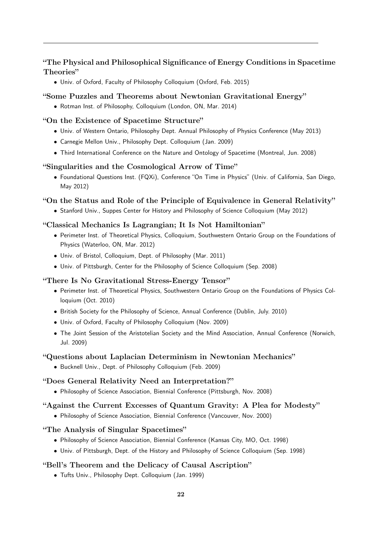# "The Physical and Philosophical Significance of Energy Conditions in Spacetime Theories"

• Univ. of Oxford, Faculty of Philosophy Colloquium (Oxford, Feb. 2015)

## "Some Puzzles and Theorems about Newtonian Gravitational Energy"

• Rotman Inst. of Philosophy, Colloquium (London, ON, Mar. 2014)

### "On the Existence of Spacetime Structure"

- Univ. of Western Ontario, Philosophy Dept. Annual Philosophy of Physics Conference (May 2013)
- Carnegie Mellon Univ., Philosophy Dept. Colloquium (Jan. 2009)
- Third International Conference on the Nature and Ontology of Spacetime (Montreal, Jun. 2008)

#### "Singularities and the Cosmological Arrow of Time"

• Foundational Questions Inst. (FQXi), Conference "On Time in Physics" (Univ. of California, San Diego, May 2012)

#### "On the Status and Role of the Principle of Equivalence in General Relativity"

• Stanford Univ., Suppes Center for History and Philosophy of Science Colloquium (May 2012)

#### "Classical Mechanics Is Lagrangian; It Is Not Hamiltonian"

- Perimeter Inst. of Theoretical Physics, Colloquium, Southwestern Ontario Group on the Foundations of Physics (Waterloo, ON, Mar. 2012)
- Univ. of Bristol, Colloquium, Dept. of Philosophy (Mar. 2011)
- Univ. of Pittsburgh, Center for the Philosophy of Science Colloquium (Sep. 2008)

#### "There Is No Gravitational Stress-Energy Tensor"

- Perimeter Inst. of Theoretical Physics, Southwestern Ontario Group on the Foundations of Physics Colloquium (Oct. 2010)
- British Society for the Philosophy of Science, Annual Conference (Dublin, July. 2010)
- Univ. of Oxford, Faculty of Philosophy Colloquium (Nov. 2009)
- The Joint Session of the Aristotelian Society and the Mind Association, Annual Conference (Norwich, Jul. 2009)

#### "Questions about Laplacian Determinism in Newtonian Mechanics"

• Bucknell Univ., Dept. of Philosophy Colloquium (Feb. 2009)

# "Does General Relativity Need an Interpretation?"

• Philosophy of Science Association, Biennial Conference (Pittsburgh, Nov. 2008)

#### "Against the Current Excesses of Quantum Gravity: A Plea for Modesty"

• Philosophy of Science Association, Biennial Conference (Vancouver, Nov. 2000)

## "The Analysis of Singular Spacetimes"

- Philosophy of Science Association, Biennial Conference (Kansas City, MO, Oct. 1998)
- Univ. of Pittsburgh, Dept. of the History and Philosophy of Science Colloquium (Sep. 1998)

#### "Bell's Theorem and the Delicacy of Causal Ascription"

• Tufts Univ., Philosophy Dept. Colloquium (Jan. 1999)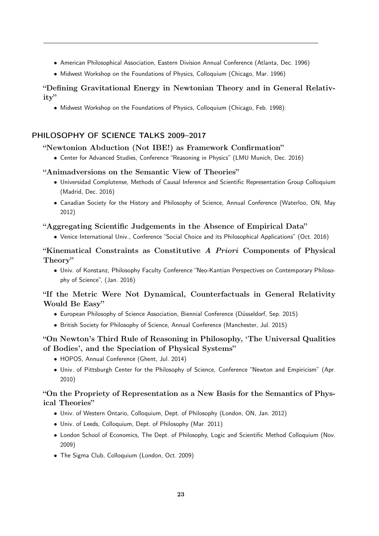- American Philosophical Association, Eastern Division Annual Conference (Atlanta, Dec. 1996)
- Midwest Workshop on the Foundations of Physics, Colloquium (Chicago, Mar. 1996)

# "Defining Gravitational Energy in Newtonian Theory and in General Relativity"

• Midwest Workshop on the Foundations of Physics, Colloquium (Chicago, Feb. 1998):

# PHILOSOPHY OF SCIENCE TALKS 2009–2017

#### "Newtonion Abduction (Not IBE!) as Framework Confirmation"

• Center for Advanced Studies, Conference "Reasoning in Physics" (LMU Munich, Dec. 2016)

#### "Animadversions on the Semantic View of Theories"

- Universidad Complutense, Methods of Causal Inference and Scientific Representation Group Colloquium (Madrid, Dec. 2016)
- Canadian Society for the History and Philosophy of Science, Annual Conference (Waterloo, ON, May 2012)

#### "Aggregating Scientific Judgements in the Absence of Empirical Data"

• Venice International Univ., Conference "Social Choice and its Philosophical Applications" (Oct. 2016)

# "Kinematical Constraints as Constitutive A Priori Components of Physical Theory"

• Univ. of Konstanz, Philosophy Faculty Conference "Neo-Kantian Perspectives on Contemporary Philosophy of Science", (Jan. 2016)

# "If the Metric Were Not Dynamical, Counterfactuals in General Relativity Would Be Easy"

- European Philosophy of Science Association, Biennial Conference (Düsseldorf, Sep. 2015)
- British Society for Philosophy of Science, Annual Conference (Manchester, Jul. 2015)

# "On Newton's Third Rule of Reasoning in Philosophy, 'The Universal Qualities of Bodies', and the Speciation of Physical Systems"

- HOPOS, Annual Conference (Ghent, Jul. 2014)
- Univ. of Pittsburgh Center for the Philosophy of Science, Conference "Newton and Empiricism" (Apr. 2010)

# "On the Propriety of Representation as a New Basis for the Semantics of Physical Theories"

- Univ. of Western Ontario, Colloquium, Dept. of Philosophy (London, ON, Jan. 2012)
- Univ. of Leeds, Colloquium, Dept. of Philosophy (Mar. 2011)
- London School of Economics, The Dept. of Philosophy, Logic and Scientific Method Colloquium (Nov. 2009)
- The Sigma Club, Colloquium (London, Oct. 2009)